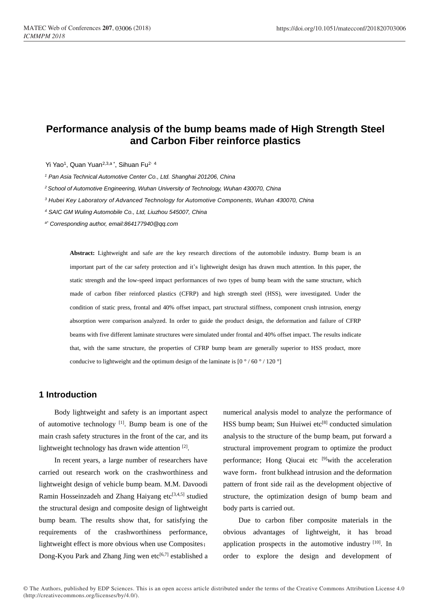# **Performance analysis of the bump beams made of High Strength Steel and Carbon Fiber reinforce plastics**

Yi Yao<sup>1</sup>, Quan Yuan<sup>2,3,a\*</sup>, Sihuan Fu<sup>2, 4</sup>

*<sup>1</sup> Pan Asia Technical Automotive Center Co., Ltd. Shanghai 201206, China*

*<sup>2</sup>School of Automotive Engineering, Wuhan University of Technology, Wuhan 430070, China*

*<sup>3</sup> Hubei Key Laboratory of Advanced Technology for Automotive Components, Wuhan 430070, China*

*<sup>4</sup> SAIC GM Wuling Automobile Co., Ltd, Liuzhou 545007, China*

*a\* Corresponding author, email:864177940@qq.com*

**Abstract:** Lightweight and safe are the key research directions of the automobile industry. Bump beam is an important part of the car safety protection and it's lightweight design has drawn much attention. In this paper, the static strength and the low-speed impact performances of two types of bump beam with the same structure, which made of carbon fiber reinforced plastics (CFRP) and high strength steel (HSS), were investigated. Under the condition of static press, frontal and 40% offset impact, part structural stiffness, component crush intrusion, energy absorption were comparison analyzed. In order to guide the product design, the deformation and failure of CFRP beams with five different laminate structures were simulated under frontal and 40% offset impact. The results indicate that, with the same structure, the properties of CFRP bump beam are generally superior to HSS product, more conducive to lightweight and the optimum design of the laminate is  $[0^{\circ}/60^{\circ}/120^{\circ}]$ 

# **1 Introduction**

Body lightweight and safety is an important aspect of automotive technology  $[1]$ . Bump beam is one of the main crash safety structures in the front of the car, and its lightweight technology has drawn wide attention<sup>[2]</sup>.

In recent years, a large number of researchers have carried out research work on the crashworthiness and lightweight design of vehicle bump beam. M.M. Davoodi Ramin Hosseinzadeh and Zhang Haiyang etc $[3,4,5]$  studied the structural design and composite design of lightweight bump beam. The results show that, for satisfying the requirements of the crashworthiness performance, lightweight effect is more obvious when use Composites; Dong-Kyou Park and Zhang Jing wen etc<sup>[6,7]</sup> established a numerical analysis model to analyze the performance of  $HSS$  bump beam; Sun Huiwei etc<sup>[8]</sup> conducted simulation analysis to the structure of the bump beam, put forward a structural improvement program to optimize the product performance; Hong Qiucai etc [9]with the acceleration wave form, front bulkhead intrusion and the deformation pattern of front side rail as the development objective of structure, the optimization design of bump beam and body parts is carried out.

Due to carbon fiber composite materials in the obvious advantages of lightweight, it has broad application prospects in the automotive industry [10]. In order to explore the design and development of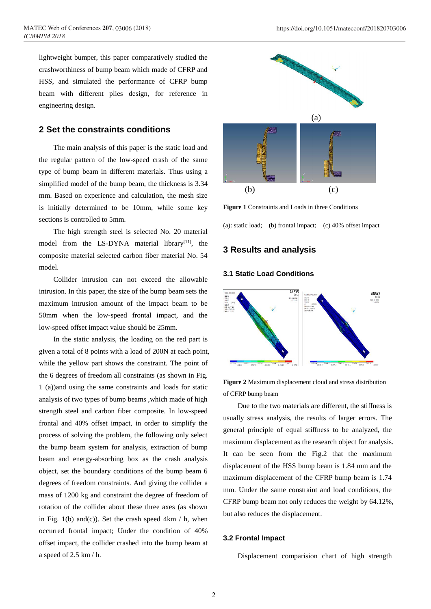lightweight bumper, this paper comparatively studied the crashworthiness of bump beam which made of CFRP and HSS, and simulated the performance of CFRP bump beam with different plies design, for reference in engineering design.

### **2 Set the constraints conditions**

The main analysis of this paper is the static load and the regular pattern of the low-speed crash of the same type of bump beam in different materials. Thus using a simplified model of the bump beam, the thickness is 3.34 mm. Based on experience and calculation, the mesh size is initially determined to be 10mm, while some key sections is controlled to 5mm.

The high strength steel is selected No. 20 material model from the LS-DYNA material library $[11]$ , the composite material selected carbon fiber material No. 54 model.

Collider intrusion can not exceed the allowable intrusion. In this paper, the size of the bump beam sets the maximum intrusion amount of the impact beam to be 50mm when the low-speed frontal impact, and the low-speed offset impact value should be 25mm.

In the static analysis, the loading on the red part is given a total of 8 points with a load of 200N at each point, while the yellow part shows the constraint. The point of the 6 degrees of freedom all constraints (as shown in Fig. 1 (a))and using the same constraints and loads for static analysis of two types of bump beams ,which made of high strength steel and carbon fiber composite. In low-speed frontal and 40% offset impact, in order to simplify the process of solving the problem, the following only select the bump beam system for analysis, extraction of bump beam and [energy-absorbing box](http://www.wanfangdata.com.cn/details/detail.do?_type=perio&id=xajtdxxb201710013) as the crash analysis object, set the boundary conditions of the bump beam 6 degrees of freedom constraints. And giving the collider a mass of 1200 kg and constraint the degree of freedom of rotation of the collider about these three axes (as shown in Fig. 1(b) and(c)). Set the crash speed  $4km / h$ , when occurred frontal impact; Under the condition of 40% offset impact, the collider crashed into the bump beam at a speed of 2.5 km / h.



**Figure 1** Constraints and Loads in three Conditions

(a): static load; (b) frontal impact; (c) 40% offset impact

## **3 Results and analysis**

### **3.1 Static Load Conditions**



**Figure 2** Maximum displacement cloud and stress distribution of CFRP bump beam

Due to the two materials are different, the stiffness is usually stress analysis, the results of larger errors. The general principle of equal stiffness to be analyzed, the maximum displacement as the research object for analysis. It can be seen from the Fig.2 that the maximum displacement of the HSS bump beam is 1.84 mm and the maximum displacement of the CFRP bump beam is 1.74 mm. Under the same constraint and load conditions, the CFRP bump beam not only reduces the weight by 64.12%, but also reduces the displacement.

#### **3.2 Frontal Impact**

Displacement comparision chart of high strength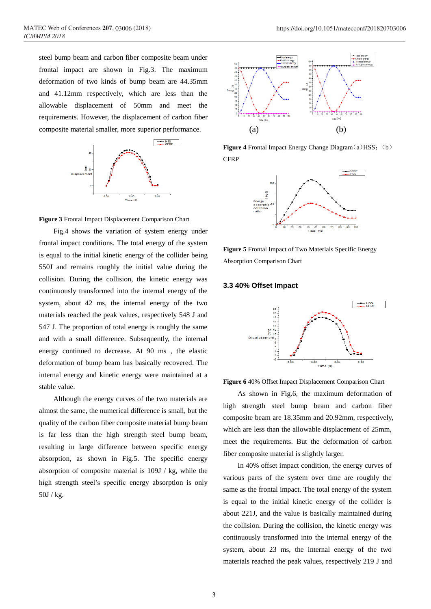steel bump beam and carbon fiber composite beam under frontal impact are shown in Fig.3. The maximum deformation of two kinds of bump beam are 44.35mm and 41.12mm respectively, which are less than the allowable displacement of 50mm and meet the requirements. However, the displacement of carbon fiber composite material smaller, more superior performance.



**Figure 3** Frontal Impact Displacement Comparison Chart

Fig.4 shows the variation of system energy under frontal impact conditions. The total energy of the system is equal to the initial kinetic energy of the collider being 550J and remains roughly the initial value during the collision. During the collision, the kinetic energy was continuously transformed into the internal energy of the system, about 42 ms, the internal energy of the two materials reached the peak values, respectively 548 J and 547 J. The proportion of total energy is roughly the same and with a small difference. Subsequently, the internal energy continued to decrease. At 90 ms , the elastic deformation of bump beam has basically recovered. The internal energy and kinetic energy were maintained at a stable value.

Although the energy curves of the two materials are almost the same, the numerical difference is small, but the quality of the carbon fiber composite material bump beam is far less than the high strength steel bump beam, resulting in large difference between specific energy absorption, as shown in Fig.5. The specific energy absorption of composite material is 109J / kg, while the high strength steel's specific energy absorption is only 50J / kg.



**Figure 4** Frontal Impact Energy Change Diagram(a)HSS; (b) **CFRP** 



**Figure 5** Frontal Impact of Two Materials Specific Energy Absorption Comparison Chart

#### **3.3 40% Offset Impact**



**Figure 6** 40% Offset Impact Displacement Comparison Chart

As shown in Fig.6, the maximum deformation of high strength steel bump beam and carbon fiber composite beam are 18.35mm and 20.92mm, respectively, which are less than the allowable displacement of 25mm, meet the requirements. But the deformation of carbon fiber composite material is slightly larger.

In 40% offset impact condition, the energy curves of various parts of the system over time are roughly the same as the frontal impact. The total energy of the system is equal to the initial kinetic energy of the collider is about 221J, and the value is basically maintained during the collision. During the collision, the kinetic energy was continuously transformed into the internal energy of the system, about 23 ms, the internal energy of the two materials reached the peak values, respectively 219 J and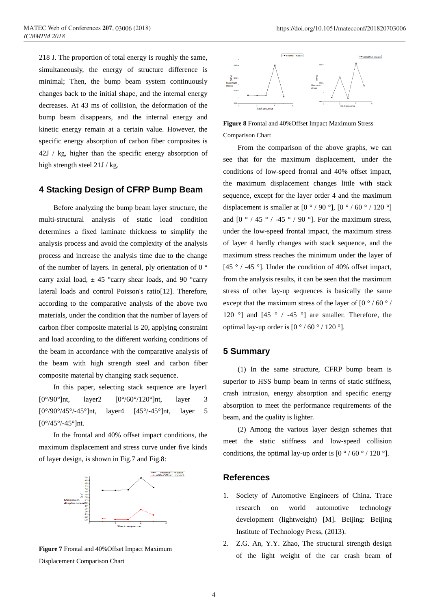218 J. The proportion of total energy is roughly the same, simultaneously, the energy of structure difference is minimal; Then, the bump beam system continuously changes back to the initial shape, and the internal energy decreases. At 43 ms of collision, the deformation of the bump beam disappears, and the internal energy and kinetic energy remain at a certain value. However, the specific energy absorption of carbon fiber composites is 42J / kg, higher than the specific energy absorption of high strength steel 21J / kg.

# **4 Stacking Design of CFRP Bump Beam**

Before analyzing the bump beam layer structure, the multi-structural analysis of static load condition determines a fixed laminate thickness to simplify the analysis process and avoid the complexity of the analysis process and increase the analysis time due to the change of the number of layers. In general, ply orientation of 0  $\degree$ carry axial load,  $\pm$  45 °carry shear loads, and 90 °carry lateral loads and control Poisson's ratio[12]. Therefore, according to the comparative analysis of the above two materials, under the condition that the number of layers of carbon fiber composite material is 20, applying constraint and load according to the different working conditions of the beam in accordance with the comparative analysis of the beam with high strength steel and carbon fiber composite material by changing stack sequence.

In this paper, selecting stack sequence are layer1  $[0^{\circ}/90^{\circ}]$ nt, layer2  $[0^{\circ}/60^{\circ}/120^{\circ}]$ nt, layer 3  $[0^{\circ}/90^{\circ}/45^{\circ}/-45^{\circ}]$ nt, layer4  $[45^{\circ}/-45^{\circ}]$ nt, layer 5  $[0^{\circ}/45^{\circ}/-45^{\circ}]$ nt.

In the frontal and 40% offset impact conditions, the maximum displacement and stress curve under five kinds of layer design, is shown in Fig.7 and Fig.8:



**Figure 7** Frontal and 40%Offset Impact Maximum Displacement Comparison Chart



**Figure 8** Frontal and 40%Offset Impact Maximum Stress Comparison Chart

From the comparison of the above graphs, we can see that for the maximum displacement, under the conditions of low-speed frontal and 40% offset impact, the maximum displacement changes little with stack sequence, except for the layer order 4 and the maximum displacement is smaller at  $[0^{\circ}/90^{\circ}]$ ,  $[0^{\circ}/60^{\circ}/120^{\circ}]$ and  $[0^{\circ}/45^{\circ}/-45^{\circ}/90^{\circ}]$ . For the maximum stress, under the low-speed frontal impact, the maximum stress of layer 4 hardly changes with stack sequence, and the maximum stress reaches the minimum under the layer of [45  $\degree$  / -45  $\degree$ ]. Under the condition of 40% offset impact, from the analysis results, it can be seen that the maximum stress of other lay-up sequences is basically the same except that the maximum stress of the layer of  $[0\degree/60\degree/$ 120 ° and  $[45 \degree / -45 \degree]$  are smaller. Therefore, the optimal lay-up order is  $[0 \degree / 60 \degree / 120 \degree]$ .

# **5 Summary**

(1) In the same structure, CFRP bump beam is superior to HSS bump beam in terms of static stiffness, crash intrusion, energy absorption and specific energy absorption to meet the performance requirements of the beam, and the quality is lighter.

(2) Among the various layer design schemes that meet the static stiffness and low-speed collision conditions, the optimal lay-up order is  $[0^{\circ}/60^{\circ}/120^{\circ}]$ .

### **References**

- 1. Society of Automotive Engineers of China. [Trace](https://www.amazon.cn/s?_encoding=UTF8&field-keywords=Trace%20Research%20on%20World%20Automotive%20Technology%20Development%20Lightweight&search-alias=books)  [research on world automotive technology](https://www.amazon.cn/s?_encoding=UTF8&field-keywords=Trace%20Research%20on%20World%20Automotive%20Technology%20Development%20Lightweight&search-alias=books)  [development \(lightweight\)](https://www.amazon.cn/s?_encoding=UTF8&field-keywords=Trace%20Research%20on%20World%20Automotive%20Technology%20Development%20Lightweight&search-alias=books) [M]. Beijing: Beijing Institute of Technology Press, (2013).
- 2. Z.G. An, Y.Y. Zhao, The structural strength design of the light weight of the car crash beam of